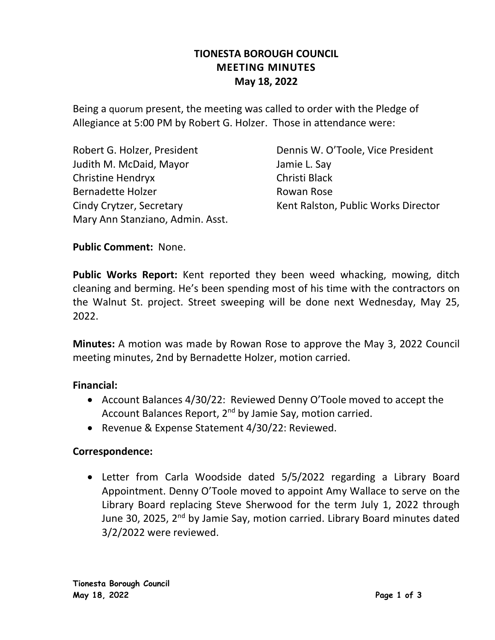# **TIONESTA BOROUGH COUNCIL MEETING MINUTES May 18, 2022**

Being a quorum present, the meeting was called to order with the Pledge of Allegiance at 5:00 PM by Robert G. Holzer. Those in attendance were:

Judith M. McDaid, Mayor Jamie L. Say Christine Hendryx Christi Black Bernadette Holzer **Rowan Rose** Mary Ann Stanziano, Admin. Asst.

Robert G. Holzer, President **Dennis W. O'Toole, Vice President** Cindy Crytzer, Secretary **Kent Ralston, Public Works Director** 

### **Public Comment:** None.

**Public Works Report:** Kent reported they been weed whacking, mowing, ditch cleaning and berming. He's been spending most of his time with the contractors on the Walnut St. project. Street sweeping will be done next Wednesday, May 25, 2022.

**Minutes:** A motion was made by Rowan Rose to approve the May 3, 2022 Council meeting minutes, 2nd by Bernadette Holzer, motion carried.

### **Financial:**

- Account Balances 4/30/22: Reviewed Denny O'Toole moved to accept the Account Balances Report, 2nd by Jamie Say, motion carried.
- Revenue & Expense Statement 4/30/22: Reviewed.

### **Correspondence:**

• Letter from Carla Woodside dated 5/5/2022 regarding a Library Board Appointment. Denny O'Toole moved to appoint Amy Wallace to serve on the Library Board replacing Steve Sherwood for the term July 1, 2022 through June 30, 2025, 2<sup>nd</sup> by Jamie Say, motion carried. Library Board minutes dated 3/2/2022 were reviewed.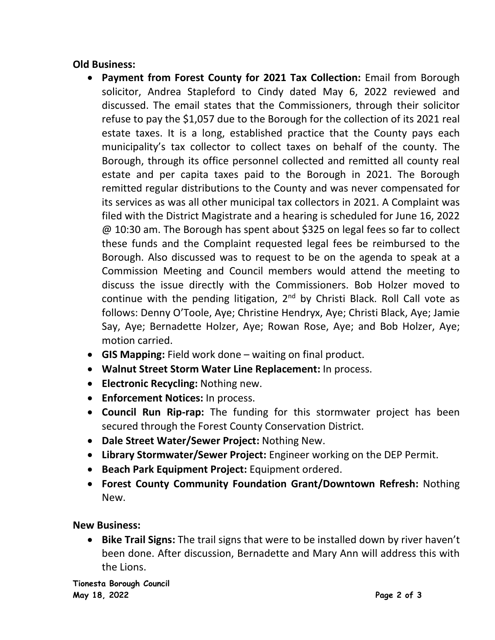# **Old Business:**

- **Payment from Forest County for 2021 Tax Collection:** Email from Borough solicitor, Andrea Stapleford to Cindy dated May 6, 2022 reviewed and discussed. The email states that the Commissioners, through their solicitor refuse to pay the \$1,057 due to the Borough for the collection of its 2021 real estate taxes. It is a long, established practice that the County pays each municipality's tax collector to collect taxes on behalf of the county. The Borough, through its office personnel collected and remitted all county real estate and per capita taxes paid to the Borough in 2021. The Borough remitted regular distributions to the County and was never compensated for its services as was all other municipal tax collectors in 2021. A Complaint was filed with the District Magistrate and a hearing is scheduled for June 16, 2022 @ 10:30 am. The Borough has spent about \$325 on legal fees so far to collect these funds and the Complaint requested legal fees be reimbursed to the Borough. Also discussed was to request to be on the agenda to speak at a Commission Meeting and Council members would attend the meeting to discuss the issue directly with the Commissioners. Bob Holzer moved to continue with the pending litigation,  $2<sup>nd</sup>$  by Christi Black. Roll Call vote as follows: Denny O'Toole, Aye; Christine Hendryx, Aye; Christi Black, Aye; Jamie Say, Aye; Bernadette Holzer, Aye; Rowan Rose, Aye; and Bob Holzer, Aye; motion carried.
- **GIS Mapping:** Field work done waiting on final product.
- **Walnut Street Storm Water Line Replacement:** In process.
- **Electronic Recycling:** Nothing new.
- **Enforcement Notices:** In process.
- **Council Run Rip-rap:** The funding for this stormwater project has been secured through the Forest County Conservation District.
- **Dale Street Water/Sewer Project:** Nothing New.
- **Library Stormwater/Sewer Project:** Engineer working on the DEP Permit.
- **Beach Park Equipment Project:** Equipment ordered.
- **Forest County Community Foundation Grant/Downtown Refresh:** Nothing New.

# **New Business:**

• **Bike Trail Signs:** The trail signs that were to be installed down by river haven't been done. After discussion, Bernadette and Mary Ann will address this with the Lions.